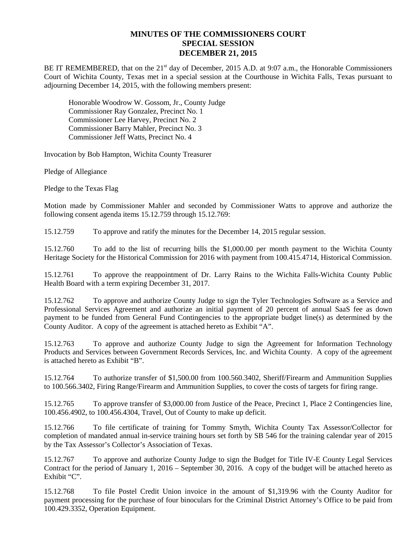## **MINUTES OF THE COMMISSIONERS COURT SPECIAL SESSION DECEMBER 21, 2015**

BE IT REMEMBERED, that on the  $21<sup>st</sup>$  day of December, 2015 A.D. at 9:07 a.m., the Honorable Commissioners Court of Wichita County, Texas met in a special session at the Courthouse in Wichita Falls, Texas pursuant to adjourning December 14, 2015, with the following members present:

Honorable Woodrow W. Gossom, Jr., County Judge Commissioner Ray Gonzalez, Precinct No. 1 Commissioner Lee Harvey, Precinct No. 2 Commissioner Barry Mahler, Precinct No. 3 Commissioner Jeff Watts, Precinct No. 4

Invocation by Bob Hampton, Wichita County Treasurer

Pledge of Allegiance

Pledge to the Texas Flag

Motion made by Commissioner Mahler and seconded by Commissioner Watts to approve and authorize the following consent agenda items 15.12.759 through 15.12.769:

15.12.759 To approve and ratify the minutes for the December 14, 2015 regular session.

15.12.760 To add to the list of recurring bills the \$1,000.00 per month payment to the Wichita County Heritage Society for the Historical Commission for 2016 with payment from 100.415.4714, Historical Commission.

15.12.761 To approve the reappointment of Dr. Larry Rains to the Wichita Falls-Wichita County Public Health Board with a term expiring December 31, 2017.

15.12.762 To approve and authorize County Judge to sign the Tyler Technologies Software as a Service and Professional Services Agreement and authorize an initial payment of 20 percent of annual SaaS fee as down payment to be funded from General Fund Contingencies to the appropriate budget line(s) as determined by the County Auditor. A copy of the agreement is attached hereto as Exhibit "A".

15.12.763 To approve and authorize County Judge to sign the Agreement for Information Technology Products and Services between Government Records Services, Inc. and Wichita County. A copy of the agreement is attached hereto as Exhibit "B".

15.12.764 To authorize transfer of \$1,500.00 from 100.560.3402, Sheriff/Firearm and Ammunition Supplies to 100.566.3402, Firing Range/Firearm and Ammunition Supplies, to cover the costs of targets for firing range.

15.12.765 To approve transfer of \$3,000.00 from Justice of the Peace, Precinct 1, Place 2 Contingencies line, 100.456.4902, to 100.456.4304, Travel, Out of County to make up deficit.

15.12.766 To file certificate of training for Tommy Smyth, Wichita County Tax Assessor/Collector for completion of mandated annual in-service training hours set forth by SB 546 for the training calendar year of 2015 by the Tax Assessor's Collector's Association of Texas.

15.12.767 To approve and authorize County Judge to sign the Budget for Title IV-E County Legal Services Contract for the period of January 1, 2016 – September 30, 2016. A copy of the budget will be attached hereto as Exhibit "C".

15.12.768 To file Postel Credit Union invoice in the amount of \$1,319.96 with the County Auditor for payment processing for the purchase of four binoculars for the Criminal District Attorney's Office to be paid from 100.429.3352, Operation Equipment.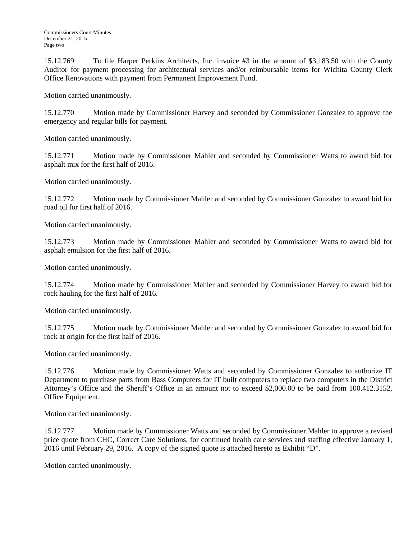15.12.769 To file Harper Perkins Architects, Inc. invoice #3 in the amount of \$3,183.50 with the County Auditor for payment processing for architectural services and/or reimbursable items for Wichita County Clerk Office Renovations with payment from Permanent Improvement Fund.

Motion carried unanimously.

15.12.770 Motion made by Commissioner Harvey and seconded by Commissioner Gonzalez to approve the emergency and regular bills for payment.

Motion carried unanimously.

15.12.771 Motion made by Commissioner Mahler and seconded by Commissioner Watts to award bid for asphalt mix for the first half of 2016.

Motion carried unanimously.

15.12.772 Motion made by Commissioner Mahler and seconded by Commissioner Gonzalez to award bid for road oil for first half of 2016.

Motion carried unanimously.

15.12.773 Motion made by Commissioner Mahler and seconded by Commissioner Watts to award bid for asphalt emulsion for the first half of 2016.

Motion carried unanimously.

15.12.774 Motion made by Commissioner Mahler and seconded by Commissioner Harvey to award bid for rock hauling for the first half of 2016.

Motion carried unanimously.

15.12.775 Motion made by Commissioner Mahler and seconded by Commissioner Gonzalez to award bid for rock at origin for the first half of 2016.

Motion carried unanimously.

15.12.776 Motion made by Commissioner Watts and seconded by Commissioner Gonzalez to authorize IT Department to purchase parts from Bass Computers for IT built computers to replace two computers in the District Attorney's Office and the Sheriff's Office in an amount not to exceed \$2,000.00 to be paid from 100.412.3152, Office Equipment.

Motion carried unanimously.

15.12.777 Motion made by Commissioner Watts and seconded by Commissioner Mahler to approve a revised price quote from CHC, Correct Care Solutions, for continued health care services and staffing effective January 1, 2016 until February 29, 2016. A copy of the signed quote is attached hereto as Exhibit "D".

Motion carried unanimously.